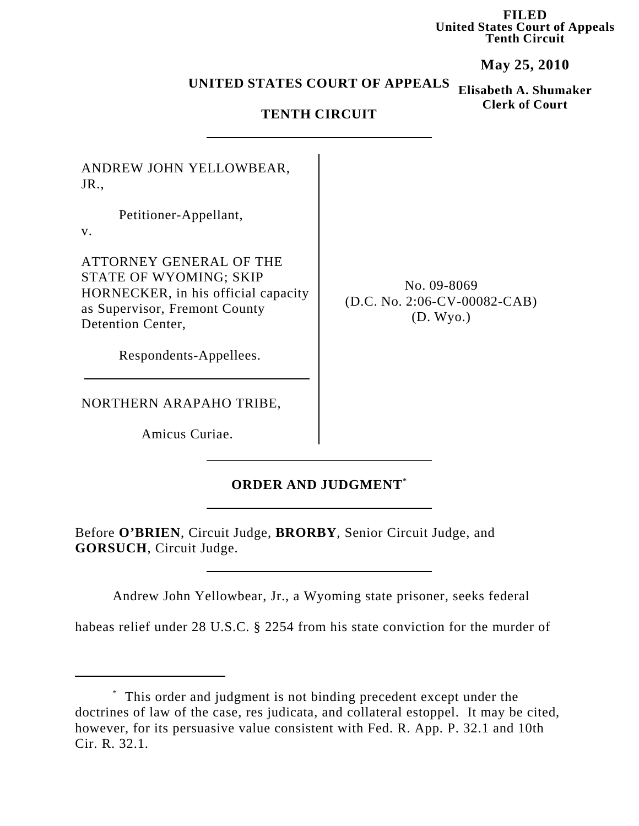**FILED United States Court of Appeals Tenth Circuit**

**May 25, 2010**

**Clerk of Court**

## **Elisabeth A. Shumaker UNITED STATES COURT OF APPEALS**

## **TENTH CIRCUIT**

ANDREW JOHN YELLOWBEAR, JR.,

Petitioner-Appellant,

v.

ATTORNEY GENERAL OF THE STATE OF WYOMING; SKIP HORNECKER, in his official capacity as Supervisor, Fremont County Detention Center,

Respondents-Appellees.

NORTHERN ARAPAHO TRIBE,

Amicus Curiae.

## **ORDER AND JUDGMENT**\*

Before **O'BRIEN**, Circuit Judge, **BRORBY**, Senior Circuit Judge, and **GORSUCH**, Circuit Judge.

Andrew John Yellowbear, Jr., a Wyoming state prisoner, seeks federal

habeas relief under 28 U.S.C. § 2254 from his state conviction for the murder of

No. 09-8069 (D.C. No. 2:06-CV-00082-CAB) (D. Wyo.)

<sup>\*</sup> This order and judgment is not binding precedent except under the doctrines of law of the case, res judicata, and collateral estoppel. It may be cited, however, for its persuasive value consistent with Fed. R. App. P. 32.1 and 10th Cir. R. 32.1.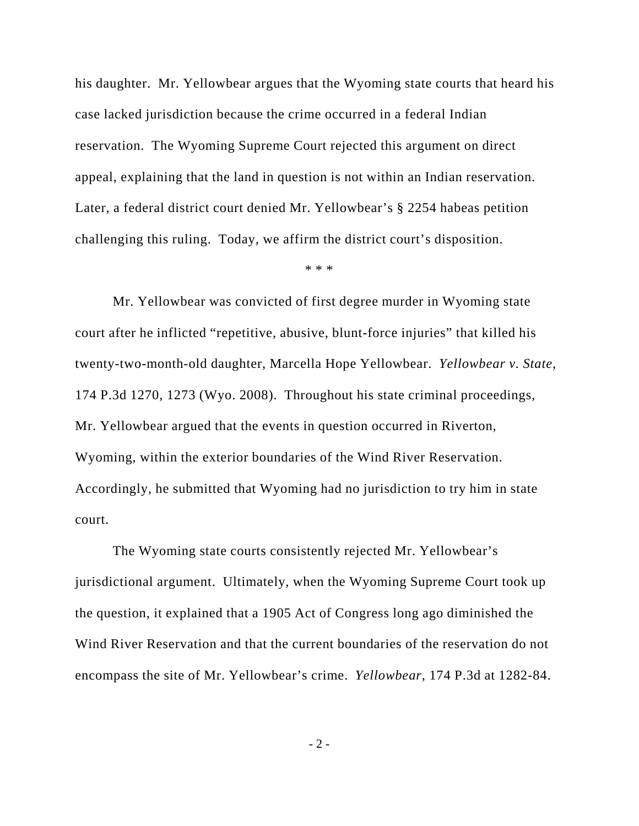his daughter. Mr. Yellowbear argues that the Wyoming state courts that heard his case lacked jurisdiction because the crime occurred in a federal Indian reservation. The Wyoming Supreme Court rejected this argument on direct appeal, explaining that the land in question is not within an Indian reservation. Later, a federal district court denied Mr. Yellowbear's § 2254 habeas petition challenging this ruling. Today, we affirm the district court's disposition.

\* \* \*

Mr. Yellowbear was convicted of first degree murder in Wyoming state court after he inflicted "repetitive, abusive, blunt-force injuries" that killed his twenty-two-month-old daughter, Marcella Hope Yellowbear. *Yellowbear v. State*, 174 P.3d 1270, 1273 (Wyo. 2008). Throughout his state criminal proceedings, Mr. Yellowbear argued that the events in question occurred in Riverton, Wyoming, within the exterior boundaries of the Wind River Reservation. Accordingly, he submitted that Wyoming had no jurisdiction to try him in state court.

The Wyoming state courts consistently rejected Mr. Yellowbear's jurisdictional argument. Ultimately, when the Wyoming Supreme Court took up the question, it explained that a 1905 Act of Congress long ago diminished the Wind River Reservation and that the current boundaries of the reservation do not encompass the site of Mr. Yellowbear's crime. *Yellowbear*, 174 P.3d at 1282-84.

- 2 -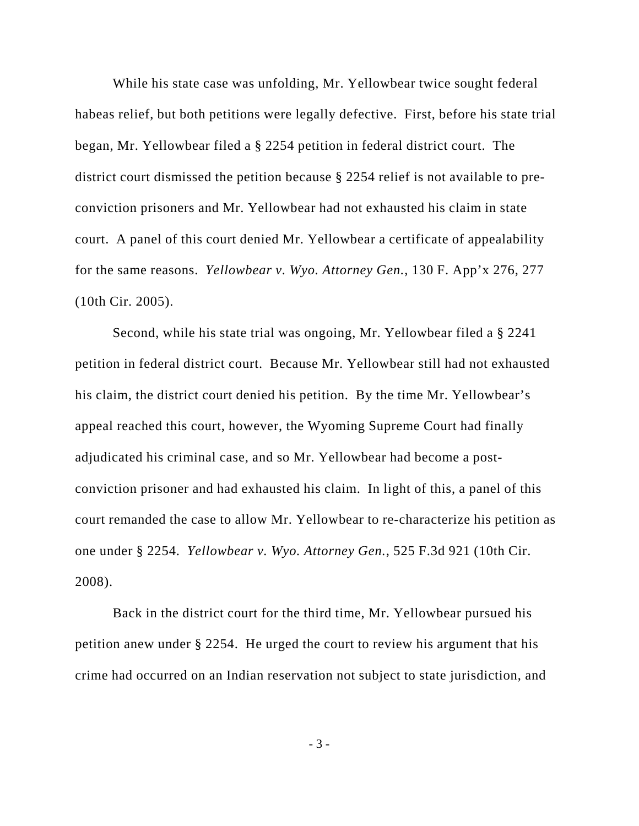While his state case was unfolding, Mr. Yellowbear twice sought federal habeas relief, but both petitions were legally defective. First, before his state trial began, Mr. Yellowbear filed a § 2254 petition in federal district court. The district court dismissed the petition because § 2254 relief is not available to preconviction prisoners and Mr. Yellowbear had not exhausted his claim in state court. A panel of this court denied Mr. Yellowbear a certificate of appealability for the same reasons. *Yellowbear v. Wyo. Attorney Gen.*, 130 F. App'x 276, 277 (10th Cir. 2005).

Second, while his state trial was ongoing, Mr. Yellowbear filed a § 2241 petition in federal district court. Because Mr. Yellowbear still had not exhausted his claim, the district court denied his petition. By the time Mr. Yellowbear's appeal reached this court, however, the Wyoming Supreme Court had finally adjudicated his criminal case, and so Mr. Yellowbear had become a postconviction prisoner and had exhausted his claim. In light of this, a panel of this court remanded the case to allow Mr. Yellowbear to re-characterize his petition as one under § 2254. *Yellowbear v. Wyo. Attorney Gen.*, 525 F.3d 921 (10th Cir. 2008).

Back in the district court for the third time, Mr. Yellowbear pursued his petition anew under § 2254. He urged the court to review his argument that his crime had occurred on an Indian reservation not subject to state jurisdiction, and

- 3 -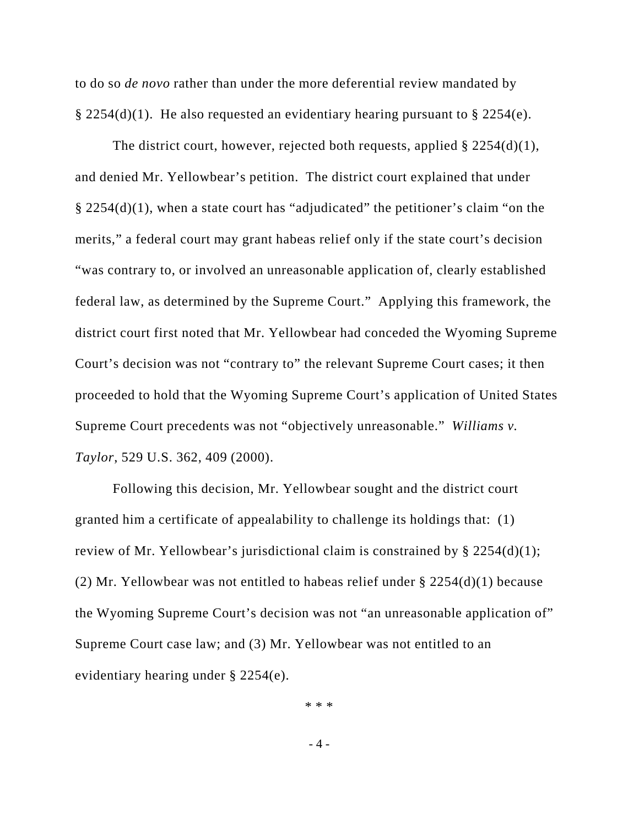to do so *de novo* rather than under the more deferential review mandated by § 2254(d)(1). He also requested an evidentiary hearing pursuant to § 2254(e).

The district court, however, rejected both requests, applied  $\S 2254(d)(1)$ , and denied Mr. Yellowbear's petition. The district court explained that under § 2254(d)(1), when a state court has "adjudicated" the petitioner's claim "on the merits," a federal court may grant habeas relief only if the state court's decision "was contrary to, or involved an unreasonable application of, clearly established federal law, as determined by the Supreme Court." Applying this framework, the district court first noted that Mr. Yellowbear had conceded the Wyoming Supreme Court's decision was not "contrary to" the relevant Supreme Court cases; it then proceeded to hold that the Wyoming Supreme Court's application of United States Supreme Court precedents was not "objectively unreasonable." *Williams v. Taylor*, 529 U.S. 362, 409 (2000).

Following this decision, Mr. Yellowbear sought and the district court granted him a certificate of appealability to challenge its holdings that: (1) review of Mr. Yellowbear's jurisdictional claim is constrained by § 2254(d)(1); (2) Mr. Yellowbear was not entitled to habeas relief under § 2254(d)(1) because the Wyoming Supreme Court's decision was not "an unreasonable application of" Supreme Court case law; and (3) Mr. Yellowbear was not entitled to an evidentiary hearing under § 2254(e).

\* \* \*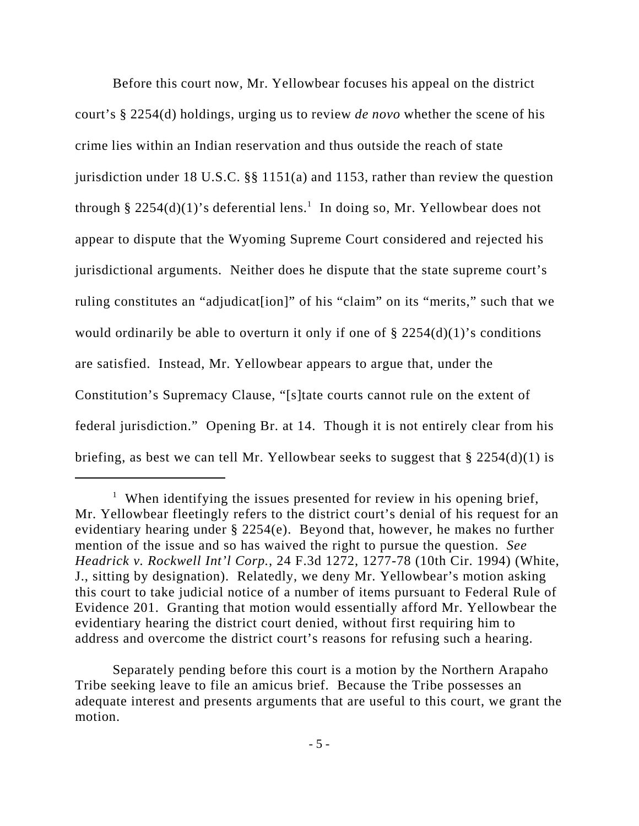Before this court now, Mr. Yellowbear focuses his appeal on the district court's § 2254(d) holdings, urging us to review *de novo* whether the scene of his crime lies within an Indian reservation and thus outside the reach of state jurisdiction under 18 U.S.C. §§ 1151(a) and 1153, rather than review the question through § 2254(d)(1)'s deferential lens.<sup>1</sup> In doing so, Mr. Yellowbear does not appear to dispute that the Wyoming Supreme Court considered and rejected his jurisdictional arguments. Neither does he dispute that the state supreme court's ruling constitutes an "adjudicat[ion]" of his "claim" on its "merits," such that we would ordinarily be able to overturn it only if one of  $\S 2254(d)(1)$ 's conditions are satisfied. Instead, Mr. Yellowbear appears to argue that, under the Constitution's Supremacy Clause, "[s]tate courts cannot rule on the extent of federal jurisdiction." Opening Br. at 14. Though it is not entirely clear from his briefing, as best we can tell Mr. Yellowbear seeks to suggest that  $\S 2254(d)(1)$  is

Separately pending before this court is a motion by the Northern Arapaho Tribe seeking leave to file an amicus brief. Because the Tribe possesses an adequate interest and presents arguments that are useful to this court, we grant the motion.

<sup>&</sup>lt;sup>1</sup> When identifying the issues presented for review in his opening brief, Mr. Yellowbear fleetingly refers to the district court's denial of his request for an evidentiary hearing under § 2254(e). Beyond that, however, he makes no further mention of the issue and so has waived the right to pursue the question. *See Headrick v. Rockwell Int'l Corp.*, 24 F.3d 1272, 1277-78 (10th Cir. 1994) (White, J., sitting by designation). Relatedly, we deny Mr. Yellowbear's motion asking this court to take judicial notice of a number of items pursuant to Federal Rule of Evidence 201. Granting that motion would essentially afford Mr. Yellowbear the evidentiary hearing the district court denied, without first requiring him to address and overcome the district court's reasons for refusing such a hearing.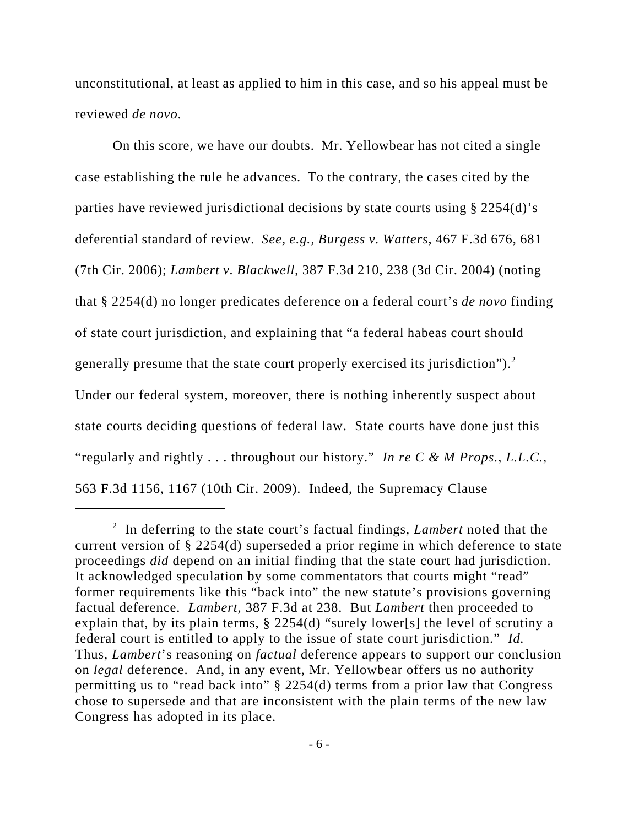unconstitutional, at least as applied to him in this case, and so his appeal must be reviewed *de novo*.

On this score, we have our doubts. Mr. Yellowbear has not cited a single case establishing the rule he advances. To the contrary, the cases cited by the parties have reviewed jurisdictional decisions by state courts using § 2254(d)'s deferential standard of review. *See, e.g.*, *Burgess v. Watters*, 467 F.3d 676, 681 (7th Cir. 2006); *Lambert v. Blackwell*, 387 F.3d 210, 238 (3d Cir. 2004) (noting that § 2254(d) no longer predicates deference on a federal court's *de novo* finding of state court jurisdiction, and explaining that "a federal habeas court should generally presume that the state court properly exercised its jurisdiction").2 Under our federal system, moreover, there is nothing inherently suspect about state courts deciding questions of federal law. State courts have done just this "regularly and rightly . . . throughout our history." *In re C & M Props., L.L.C.*, 563 F.3d 1156, 1167 (10th Cir. 2009). Indeed, the Supremacy Clause

<sup>2</sup> In deferring to the state court's factual findings, *Lambert* noted that the current version of § 2254(d) superseded a prior regime in which deference to state proceedings *did* depend on an initial finding that the state court had jurisdiction. It acknowledged speculation by some commentators that courts might "read" former requirements like this "back into" the new statute's provisions governing factual deference. *Lambert*, 387 F.3d at 238. But *Lambert* then proceeded to explain that, by its plain terms, § 2254(d) "surely lower[s] the level of scrutiny a federal court is entitled to apply to the issue of state court jurisdiction." *Id.*  Thus, *Lambert*'s reasoning on *factual* deference appears to support our conclusion on *legal* deference. And, in any event, Mr. Yellowbear offers us no authority permitting us to "read back into" § 2254(d) terms from a prior law that Congress chose to supersede and that are inconsistent with the plain terms of the new law Congress has adopted in its place.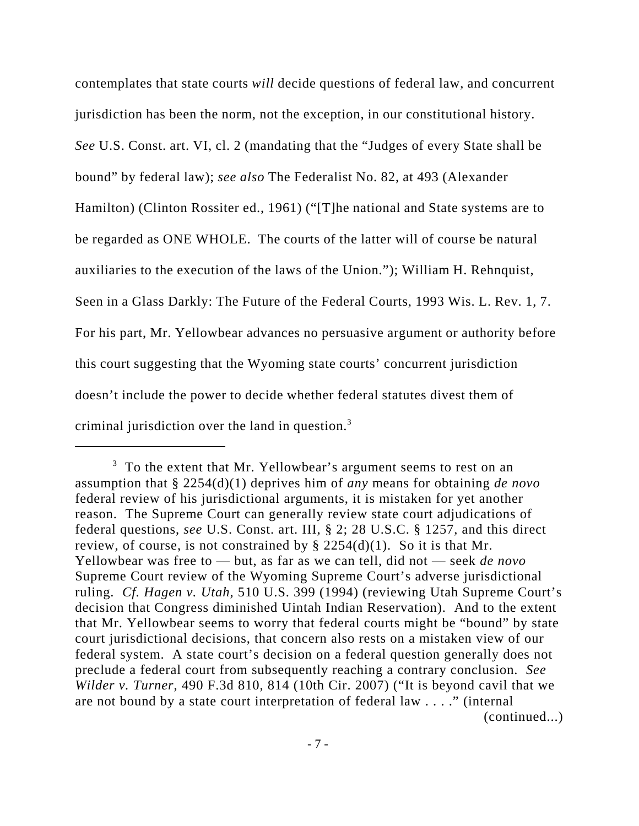contemplates that state courts *will* decide questions of federal law, and concurrent jurisdiction has been the norm, not the exception, in our constitutional history. *See* U.S. Const. art. VI, cl. 2 (mandating that the "Judges of every State shall be bound" by federal law); *see also* The Federalist No. 82, at 493 (Alexander Hamilton) (Clinton Rossiter ed., 1961) ("[T]he national and State systems are to be regarded as ONE WHOLE. The courts of the latter will of course be natural auxiliaries to the execution of the laws of the Union."); William H. Rehnquist, Seen in a Glass Darkly: The Future of the Federal Courts, 1993 Wis. L. Rev. 1, 7. For his part, Mr. Yellowbear advances no persuasive argument or authority before this court suggesting that the Wyoming state courts' concurrent jurisdiction doesn't include the power to decide whether federal statutes divest them of criminal jurisdiction over the land in question.3

 $3\,$  To the extent that Mr. Yellowbear's argument seems to rest on an assumption that § 2254(d)(1) deprives him of *any* means for obtaining *de novo* federal review of his jurisdictional arguments, it is mistaken for yet another reason. The Supreme Court can generally review state court adjudications of federal questions, *see* U.S. Const. art. III, § 2; 28 U.S.C. § 1257, and this direct review, of course, is not constrained by § 2254(d)(1). So it is that Mr. Yellowbear was free to — but, as far as we can tell, did not — seek *de novo* Supreme Court review of the Wyoming Supreme Court's adverse jurisdictional ruling. *Cf. Hagen v. Utah*, 510 U.S. 399 (1994) (reviewing Utah Supreme Court's decision that Congress diminished Uintah Indian Reservation). And to the extent that Mr. Yellowbear seems to worry that federal courts might be "bound" by state court jurisdictional decisions, that concern also rests on a mistaken view of our federal system. A state court's decision on a federal question generally does not preclude a federal court from subsequently reaching a contrary conclusion. *See Wilder v. Turner*, 490 F.3d 810, 814 (10th Cir. 2007) ("It is beyond cavil that we are not bound by a state court interpretation of federal law . . . ." (internal (continued...)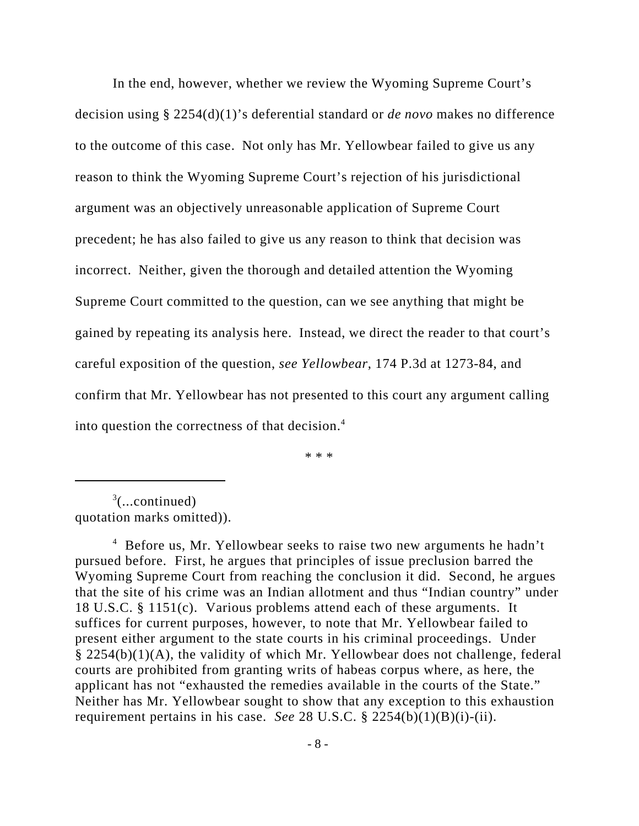In the end, however, whether we review the Wyoming Supreme Court's decision using § 2254(d)(1)'s deferential standard or *de novo* makes no difference to the outcome of this case. Not only has Mr. Yellowbear failed to give us any reason to think the Wyoming Supreme Court's rejection of his jurisdictional argument was an objectively unreasonable application of Supreme Court precedent; he has also failed to give us any reason to think that decision was incorrect. Neither, given the thorough and detailed attention the Wyoming Supreme Court committed to the question, can we see anything that might be gained by repeating its analysis here. Instead, we direct the reader to that court's careful exposition of the question, *see Yellowbear*, 174 P.3d at 1273-84, and confirm that Mr. Yellowbear has not presented to this court any argument calling into question the correctness of that decision.<sup>4</sup>

\* \* \*

 $3$ (...continued) quotation marks omitted)).

<sup>4</sup> Before us, Mr. Yellowbear seeks to raise two new arguments he hadn't pursued before. First, he argues that principles of issue preclusion barred the Wyoming Supreme Court from reaching the conclusion it did. Second, he argues that the site of his crime was an Indian allotment and thus "Indian country" under 18 U.S.C. § 1151(c). Various problems attend each of these arguments. It suffices for current purposes, however, to note that Mr. Yellowbear failed to present either argument to the state courts in his criminal proceedings. Under § 2254(b)(1)(A), the validity of which Mr. Yellowbear does not challenge, federal courts are prohibited from granting writs of habeas corpus where, as here, the applicant has not "exhausted the remedies available in the courts of the State." Neither has Mr. Yellowbear sought to show that any exception to this exhaustion requirement pertains in his case. *See* 28 U.S.C.  $\S$  2254(b)(1)(B)(i)-(ii).